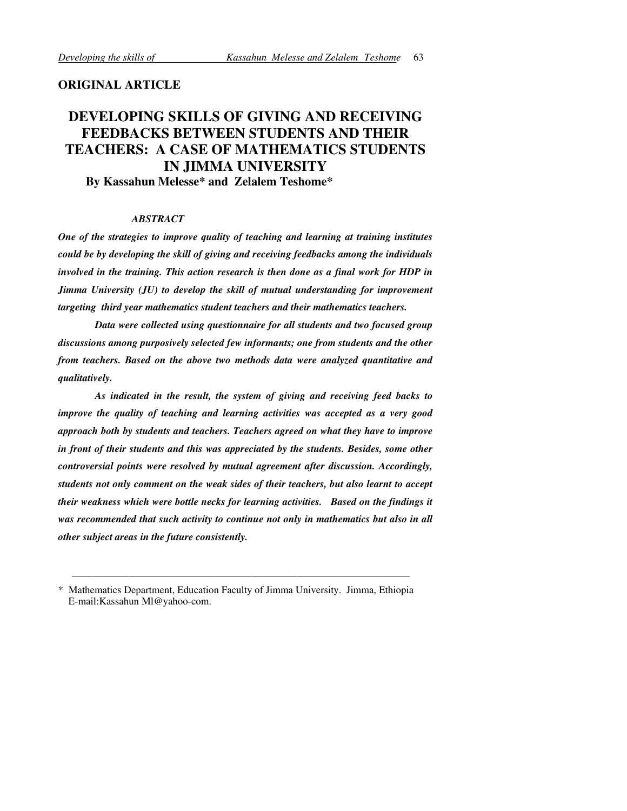# ORIGINAL ARTICLE

# DEVELOPING SKILLS OF GIVING AND RECEIVING FEEDBACKS BETWEEN STUDENTS AND THEIR TEACHERS: A CASE OF MATHEMATICS STUDENTS IN JIMMA UNIVERSITY

By Kassahun Melesse\* and Zelalem Teshome\*

### ABSTRACT

One of the strategies to improve quality of teaching and learning at training institutes could be by developing the skill of giving and receiving feedbacks among the individuals involved in the training. This action research is then done as a final work for HDP in Jimma University (JU) to develop the skill of mutual understanding for improvement targeting third year mathematics student teachers and their mathematics teachers.

Data were collected using questionnaire for all students and two focused group discussions among purposively selected few informants; one from students and the other from teachers. Based on the above two methods data were analyzed quantitative and qualitatively.

As indicated in the result, the system of giving and receiving feed backs to improve the quality of teaching and learning activities was accepted as a very good approach both by students and teachers. Teachers agreed on what they have to improve in front of their students and this was appreciated by the students. Besides, some other controversial points were resolved by mutual agreement after discussion. Accordingly, students not only comment on the weak sides of their teachers, but also learnt to accept their weakness which were bottle necks for learning activities. Based on the findings it was recommended that such activity to continue not only in mathematics but also in all other subject areas in the future consistently.

\_\_\_\_\_\_\_\_\_\_\_\_\_\_\_\_\_\_\_\_\_\_\_\_\_\_\_\_\_\_\_\_\_\_\_\_\_\_\_\_\_\_\_\_\_\_\_\_\_\_\_\_\_\_\_\_\_\_\_\_\_\_\_\_\_\_

<sup>\*</sup> Mathematics Department, Education Faculty of Jimma University. Jimma, Ethiopia E-mail:Kassahun Ml@yahoo-com.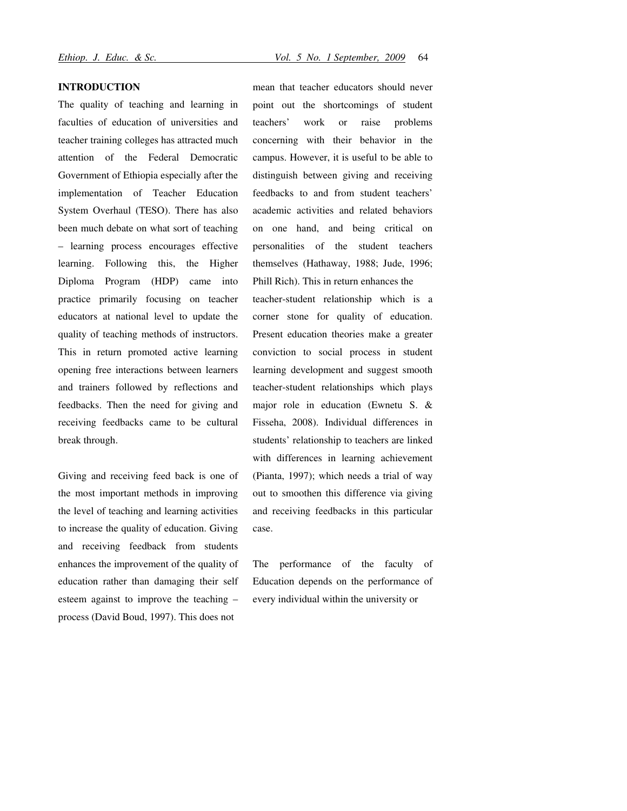### INTRODUCTION

The quality of teaching and learning in faculties of education of universities and teacher training colleges has attracted much attention of the Federal Democratic Government of Ethiopia especially after the implementation of Teacher Education System Overhaul (TESO). There has also been much debate on what sort of teaching – learning process encourages effective learning. Following this, the Higher Diploma Program (HDP) came into practice primarily focusing on teacher educators at national level to update the quality of teaching methods of instructors. This in return promoted active learning opening free interactions between learners and trainers followed by reflections and feedbacks. Then the need for giving and receiving feedbacks came to be cultural break through.

Giving and receiving feed back is one of the most important methods in improving the level of teaching and learning activities to increase the quality of education. Giving and receiving feedback from students enhances the improvement of the quality of education rather than damaging their self esteem against to improve the teaching – process (David Boud, 1997). This does not

mean that teacher educators should never point out the shortcomings of student teachers' work or raise problems concerning with their behavior in the campus. However, it is useful to be able to distinguish between giving and receiving feedbacks to and from student teachers' academic activities and related behaviors on one hand, and being critical on personalities of the student teachers themselves (Hathaway, 1988; Jude, 1996; Phill Rich). This in return enhances the

teacher-student relationship which is a corner stone for quality of education. Present education theories make a greater conviction to social process in student learning development and suggest smooth teacher-student relationships which plays major role in education (Ewnetu S. & Fisseha, 2008). Individual differences in students' relationship to teachers are linked with differences in learning achievement (Pianta, 1997); which needs a trial of way out to smoothen this difference via giving and receiving feedbacks in this particular case.

The performance of the faculty of Education depends on the performance of every individual within the university or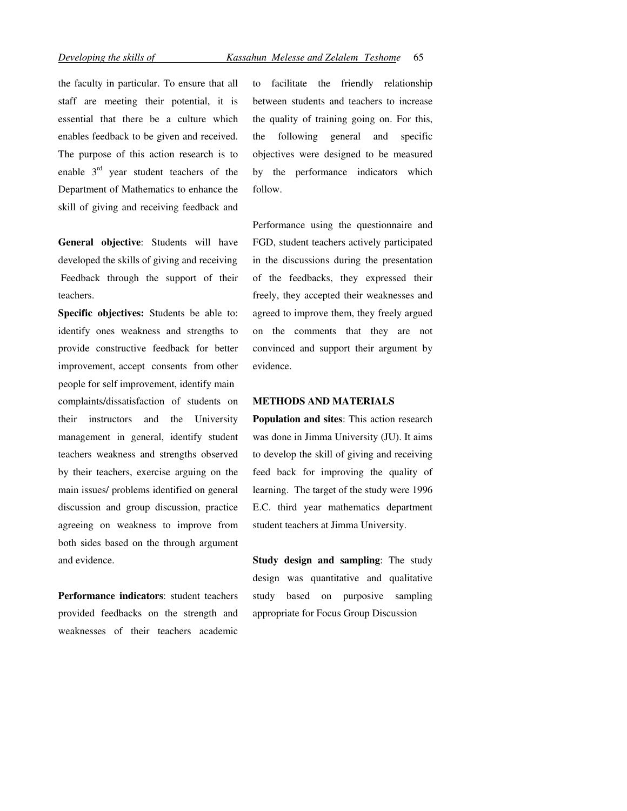the faculty in particular. To ensure that all staff are meeting their potential, it is essential that there be a culture which enables feedback to be given and received. The purpose of this action research is to enable  $3<sup>rd</sup>$  year student teachers of the Department of Mathematics to enhance the skill of giving and receiving feedback and

General objective: Students will have developed the skills of giving and receiving Feedback through the support of their teachers.

Specific objectives: Students be able to: identify ones weakness and strengths to provide constructive feedback for better improvement, accept consents from other people for self improvement, identify main complaints/dissatisfaction of students on their instructors and the University management in general, identify student teachers weakness and strengths observed by their teachers, exercise arguing on the main issues/ problems identified on general discussion and group discussion, practice agreeing on weakness to improve from both sides based on the through argument and evidence.

Performance indicators: student teachers provided feedbacks on the strength and weaknesses of their teachers academic

to facilitate the friendly relationship between students and teachers to increase the quality of training going on. For this, the following general and specific objectives were designed to be measured by the performance indicators which follow.

Performance using the questionnaire and FGD, student teachers actively participated in the discussions during the presentation of the feedbacks, they expressed their freely, they accepted their weaknesses and agreed to improve them, they freely argued on the comments that they are not convinced and support their argument by evidence.

### METHODS AND MATERIALS

Population and sites: This action research was done in Jimma University (JU). It aims to develop the skill of giving and receiving feed back for improving the quality of learning. The target of the study were 1996 E.C. third year mathematics department student teachers at Jimma University.

Study design and sampling: The study design was quantitative and qualitative study based on purposive sampling appropriate for Focus Group Discussion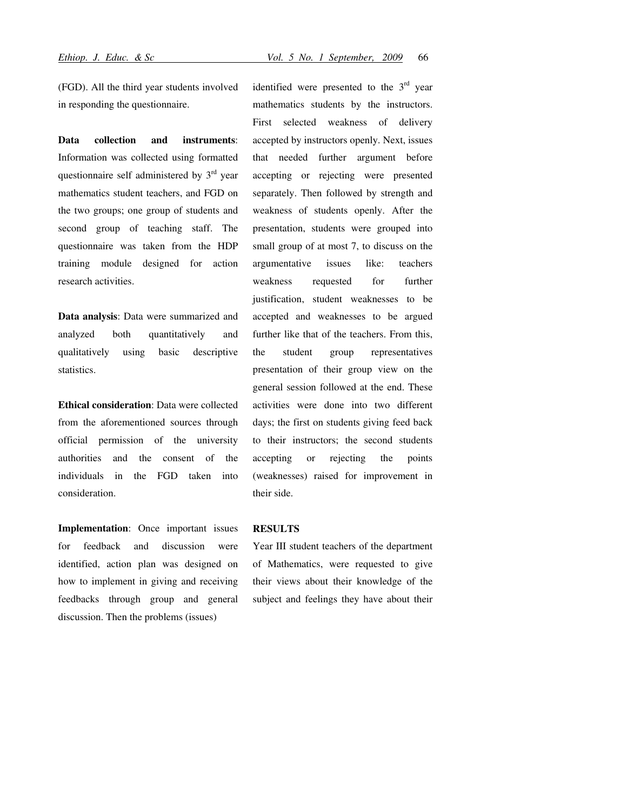(FGD). All the third year students involved in responding the questionnaire.

Data collection and instruments: Information was collected using formatted questionnaire self administered by  $3<sup>rd</sup>$  year mathematics student teachers, and FGD on the two groups; one group of students and second group of teaching staff. The questionnaire was taken from the HDP training module designed for action research activities.

Data analysis: Data were summarized and analyzed both quantitatively and qualitatively using basic descriptive statistics.

Ethical consideration: Data were collected from the aforementioned sources through official permission of the university authorities and the consent of the individuals in the FGD taken into consideration.

Implementation: Once important issues for feedback and discussion were identified, action plan was designed on how to implement in giving and receiving feedbacks through group and general discussion. Then the problems (issues)

identified were presented to the  $3<sup>rd</sup>$  year mathematics students by the instructors. First selected weakness of delivery accepted by instructors openly. Next, issues that needed further argument before accepting or rejecting were presented separately. Then followed by strength and weakness of students openly. After the presentation, students were grouped into small group of at most 7, to discuss on the argumentative issues like: teachers weakness requested for further justification, student weaknesses to be accepted and weaknesses to be argued further like that of the teachers. From this, the student group representatives presentation of their group view on the general session followed at the end. These activities were done into two different days; the first on students giving feed back to their instructors; the second students accepting or rejecting the points (weaknesses) raised for improvement in their side.

#### RESULTS

Year III student teachers of the department of Mathematics, were requested to give their views about their knowledge of the subject and feelings they have about their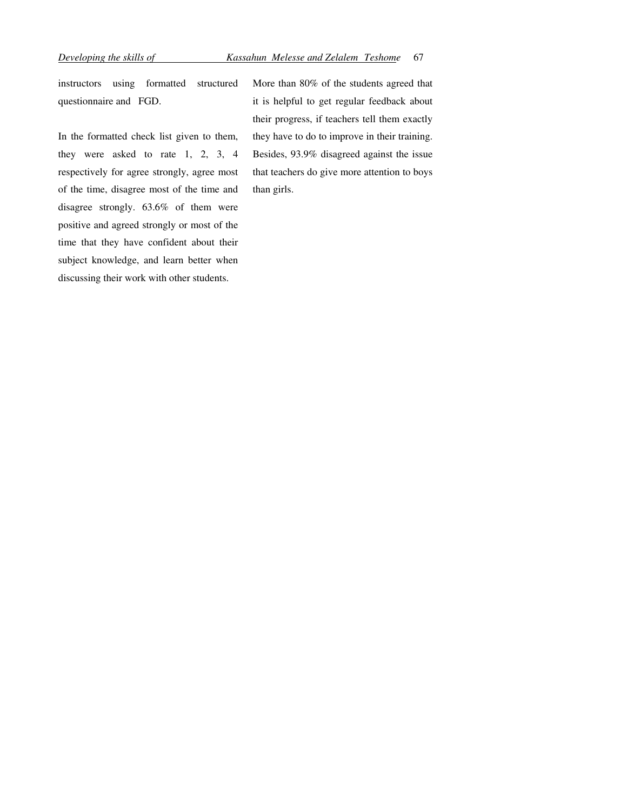instructors using formatted structured questionnaire and FGD.

In the formatted check list given to them, they were asked to rate 1, 2, 3, 4 respectively for agree strongly, agree most of the time, disagree most of the time and disagree strongly. 63.6% of them were positive and agreed strongly or most of the time that they have confident about their subject knowledge, and learn better when discussing their work with other students.

More than 80% of the students agreed that it is helpful to get regular feedback about their progress, if teachers tell them exactly they have to do to improve in their training. Besides, 93.9% disagreed against the issue that teachers do give more attention to boys than girls.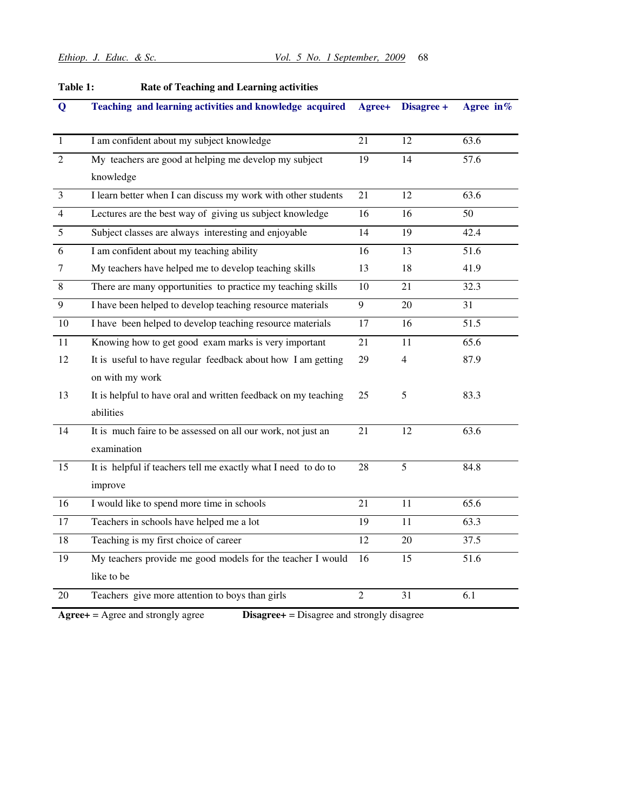| Q              | Teaching and learning activities and knowledge acquired        | Agree+         | Disagree + | Agree in $%$ |
|----------------|----------------------------------------------------------------|----------------|------------|--------------|
| $\mathbf{1}$   | I am confident about my subject knowledge                      | 21             | 12         | 63.6         |
| $\overline{2}$ | My teachers are good at helping me develop my subject          | 19             | 14         | 57.6         |
|                | knowledge                                                      |                |            |              |
| $\overline{3}$ | I learn better when I can discuss my work with other students  | 21             | 12         | 63.6         |
| $\overline{4}$ | Lectures are the best way of giving us subject knowledge       | 16             | 16         | 50           |
| 5              | Subject classes are always interesting and enjoyable           | 14             | 19         | 42.4         |
| 6              | I am confident about my teaching ability                       | 16             | 13         | 51.6         |
| 7              | My teachers have helped me to develop teaching skills          | 13             | 18         | 41.9         |
| 8              | There are many opportunities to practice my teaching skills    | 10             | 21         | 32.3         |
| 9              | I have been helped to develop teaching resource materials      | 9              | 20         | 31           |
| 10             | I have been helped to develop teaching resource materials      | 17             | 16         | 51.5         |
| 11             | Knowing how to get good exam marks is very important           | 21             | 11         | 65.6         |
| 12             | It is useful to have regular feedback about how I am getting   | 29             | 4          | 87.9         |
|                | on with my work                                                |                |            |              |
| 13             | It is helpful to have oral and written feedback on my teaching | 25             | 5          | 83.3         |
|                | abilities                                                      |                |            |              |
| 14             | It is much faire to be assessed on all our work, not just an   | 21             | 12         | 63.6         |
|                | examination                                                    |                |            |              |
| 15             | It is helpful if teachers tell me exactly what I need to do to | 28             | 5          | 84.8         |
|                | improve                                                        |                |            |              |
| 16             | I would like to spend more time in schools                     | 21             | 11         | 65.6         |
| 17             | Teachers in schools have helped me a lot                       | 19             | 11         | 63.3         |
| 18             | Teaching is my first choice of career                          | 12             | 20         | 37.5         |
| 19             | My teachers provide me good models for the teacher I would     | 16             | 15         | 51.6         |
|                | like to be                                                     |                |            |              |
| 20             | Teachers give more attention to boys than girls                | $\mathfrak{D}$ | 31         | 6.1          |

# Table 1: Rate of Teaching and Learning activities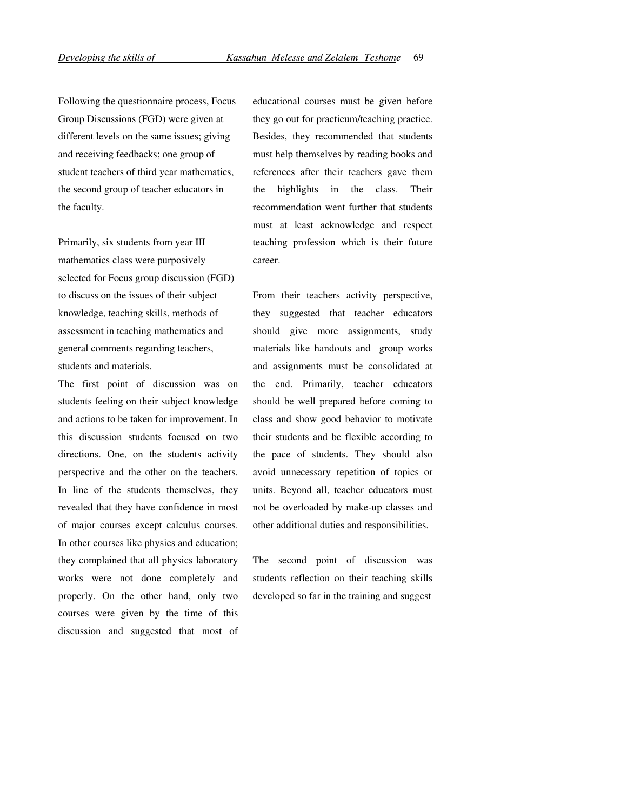Following the questionnaire process, Focus Group Discussions (FGD) were given at different levels on the same issues; giving and receiving feedbacks; one group of student teachers of third year mathematics, the second group of teacher educators in the faculty.

Primarily, six students from year III mathematics class were purposively selected for Focus group discussion (FGD) to discuss on the issues of their subject knowledge, teaching skills, methods of assessment in teaching mathematics and general comments regarding teachers, students and materials.

The first point of discussion was on students feeling on their subject knowledge and actions to be taken for improvement. In this discussion students focused on two directions. One, on the students activity perspective and the other on the teachers. In line of the students themselves, they revealed that they have confidence in most of major courses except calculus courses. In other courses like physics and education; they complained that all physics laboratory works were not done completely and properly. On the other hand, only two courses were given by the time of this discussion and suggested that most of educational courses must be given before they go out for practicum/teaching practice. Besides, they recommended that students must help themselves by reading books and references after their teachers gave them the highlights in the class. Their recommendation went further that students must at least acknowledge and respect teaching profession which is their future career.

From their teachers activity perspective, they suggested that teacher educators should give more assignments, study materials like handouts and group works and assignments must be consolidated at the end. Primarily, teacher educators should be well prepared before coming to class and show good behavior to motivate their students and be flexible according to the pace of students. They should also avoid unnecessary repetition of topics or units. Beyond all, teacher educators must not be overloaded by make-up classes and other additional duties and responsibilities.

The second point of discussion was students reflection on their teaching skills developed so far in the training and suggest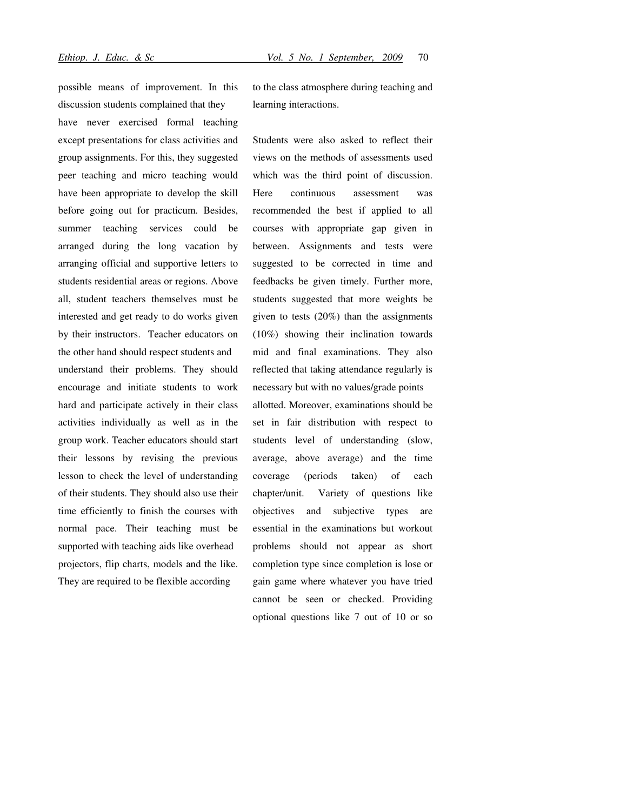possible means of improvement. In this discussion students complained that they have never exercised formal teaching except presentations for class activities and group assignments. For this, they suggested peer teaching and micro teaching would have been appropriate to develop the skill before going out for practicum. Besides, summer teaching services could be arranged during the long vacation by arranging official and supportive letters to students residential areas or regions. Above all, student teachers themselves must be interested and get ready to do works given by their instructors. Teacher educators on the other hand should respect students and understand their problems. They should encourage and initiate students to work hard and participate actively in their class activities individually as well as in the group work. Teacher educators should start their lessons by revising the previous lesson to check the level of understanding of their students. They should also use their time efficiently to finish the courses with normal pace. Their teaching must be supported with teaching aids like overhead projectors, flip charts, models and the like. They are required to be flexible according

to the class atmosphere during teaching and learning interactions.

Students were also asked to reflect their views on the methods of assessments used which was the third point of discussion. Here continuous assessment was recommended the best if applied to all courses with appropriate gap given in between. Assignments and tests were suggested to be corrected in time and feedbacks be given timely. Further more, students suggested that more weights be given to tests (20%) than the assignments (10%) showing their inclination towards mid and final examinations. They also reflected that taking attendance regularly is necessary but with no values/grade points allotted. Moreover, examinations should be set in fair distribution with respect to students level of understanding (slow, average, above average) and the time coverage (periods taken) of each chapter/unit. Variety of questions like objectives and subjective types are essential in the examinations but workout problems should not appear as short completion type since completion is lose or gain game where whatever you have tried cannot be seen or checked. Providing optional questions like 7 out of 10 or so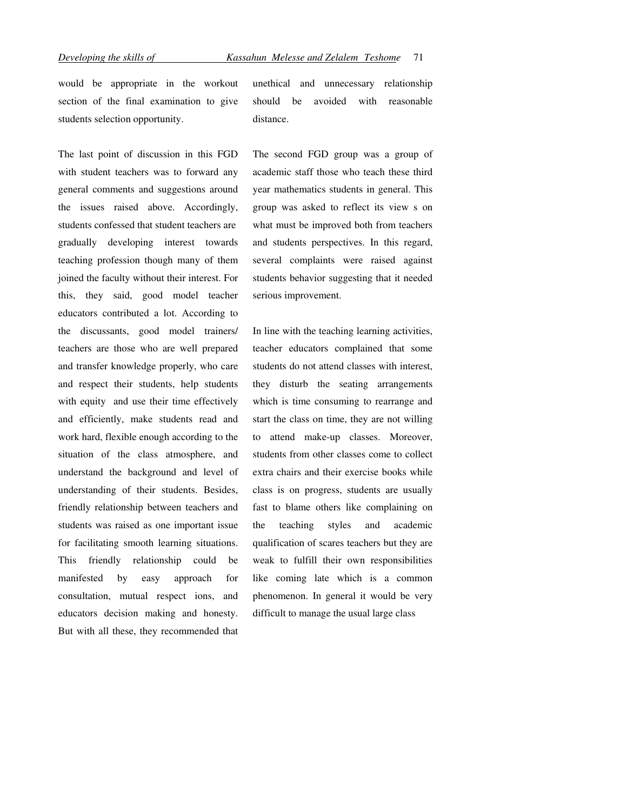would be appropriate in the workout section of the final examination to give students selection opportunity.

The last point of discussion in this FGD with student teachers was to forward any general comments and suggestions around the issues raised above. Accordingly, students confessed that student teachers are gradually developing interest towards teaching profession though many of them joined the faculty without their interest. For this, they said, good model teacher educators contributed a lot. According to the discussants, good model trainers/ teachers are those who are well prepared and transfer knowledge properly, who care and respect their students, help students with equity and use their time effectively and efficiently, make students read and work hard, flexible enough according to the situation of the class atmosphere, and understand the background and level of understanding of their students. Besides, friendly relationship between teachers and students was raised as one important issue for facilitating smooth learning situations. This friendly relationship could be manifested by easy approach for consultation, mutual respect ions, and educators decision making and honesty. But with all these, they recommended that unethical and unnecessary relationship should be avoided with reasonable distance.

The second FGD group was a group of academic staff those who teach these third year mathematics students in general. This group was asked to reflect its view s on what must be improved both from teachers and students perspectives. In this regard, several complaints were raised against students behavior suggesting that it needed serious improvement.

In line with the teaching learning activities, teacher educators complained that some students do not attend classes with interest, they disturb the seating arrangements which is time consuming to rearrange and start the class on time, they are not willing to attend make-up classes. Moreover, students from other classes come to collect extra chairs and their exercise books while class is on progress, students are usually fast to blame others like complaining on the teaching styles and academic qualification of scares teachers but they are weak to fulfill their own responsibilities like coming late which is a common phenomenon. In general it would be very difficult to manage the usual large class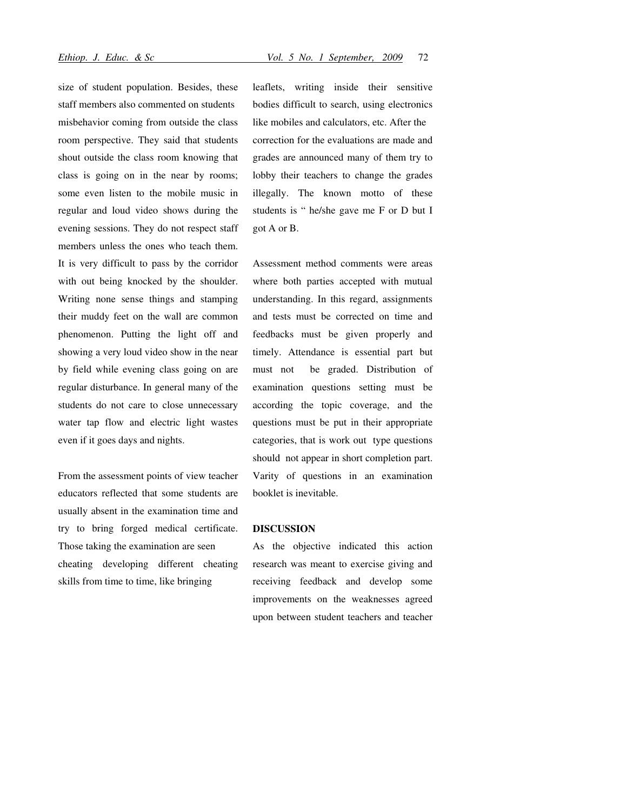size of student population. Besides, these staff members also commented on students misbehavior coming from outside the class room perspective. They said that students shout outside the class room knowing that class is going on in the near by rooms; some even listen to the mobile music in regular and loud video shows during the evening sessions. They do not respect staff members unless the ones who teach them. It is very difficult to pass by the corridor with out being knocked by the shoulder. Writing none sense things and stamping their muddy feet on the wall are common phenomenon. Putting the light off and showing a very loud video show in the near by field while evening class going on are regular disturbance. In general many of the students do not care to close unnecessary water tap flow and electric light wastes even if it goes days and nights.

From the assessment points of view teacher educators reflected that some students are usually absent in the examination time and try to bring forged medical certificate. Those taking the examination are seen cheating developing different cheating skills from time to time, like bringing

leaflets, writing inside their sensitive bodies difficult to search, using electronics like mobiles and calculators, etc. After the correction for the evaluations are made and grades are announced many of them try to lobby their teachers to change the grades illegally. The known motto of these students is " he/she gave me F or D but I got A or B.

Assessment method comments were areas where both parties accepted with mutual understanding. In this regard, assignments and tests must be corrected on time and feedbacks must be given properly and timely. Attendance is essential part but must not be graded. Distribution of examination questions setting must be according the topic coverage, and the questions must be put in their appropriate categories, that is work out type questions should not appear in short completion part. Varity of questions in an examination booklet is inevitable.

## DISCUSSION

As the objective indicated this action research was meant to exercise giving and receiving feedback and develop some improvements on the weaknesses agreed upon between student teachers and teacher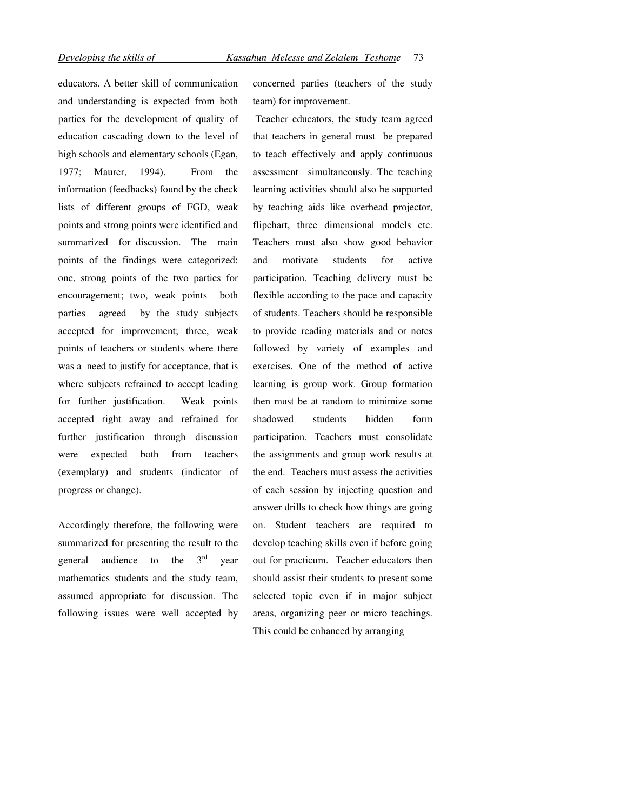educators. A better skill of communication and understanding is expected from both parties for the development of quality of education cascading down to the level of high schools and elementary schools (Egan, 1977; Maurer, 1994). From the information (feedbacks) found by the check lists of different groups of FGD, weak points and strong points were identified and summarized for discussion. The main points of the findings were categorized: one, strong points of the two parties for encouragement; two, weak points both parties agreed by the study subjects accepted for improvement; three, weak points of teachers or students where there was a need to justify for acceptance, that is where subjects refrained to accept leading for further justification. Weak points accepted right away and refrained for further justification through discussion were expected both from teachers (exemplary) and students (indicator of progress or change).

Accordingly therefore, the following were summarized for presenting the result to the general audience to the  $3<sup>rd</sup>$  year mathematics students and the study team, assumed appropriate for discussion. The following issues were well accepted by concerned parties (teachers of the study team) for improvement.

Teacher educators, the study team agreed that teachers in general must be prepared to teach effectively and apply continuous assessment simultaneously. The teaching learning activities should also be supported by teaching aids like overhead projector, flipchart, three dimensional models etc. Teachers must also show good behavior and motivate students for active participation. Teaching delivery must be flexible according to the pace and capacity of students. Teachers should be responsible to provide reading materials and or notes followed by variety of examples and exercises. One of the method of active learning is group work. Group formation then must be at random to minimize some shadowed students hidden form participation. Teachers must consolidate the assignments and group work results at the end. Teachers must assess the activities of each session by injecting question and answer drills to check how things are going on. Student teachers are required to develop teaching skills even if before going out for practicum. Teacher educators then should assist their students to present some selected topic even if in major subject areas, organizing peer or micro teachings. This could be enhanced by arranging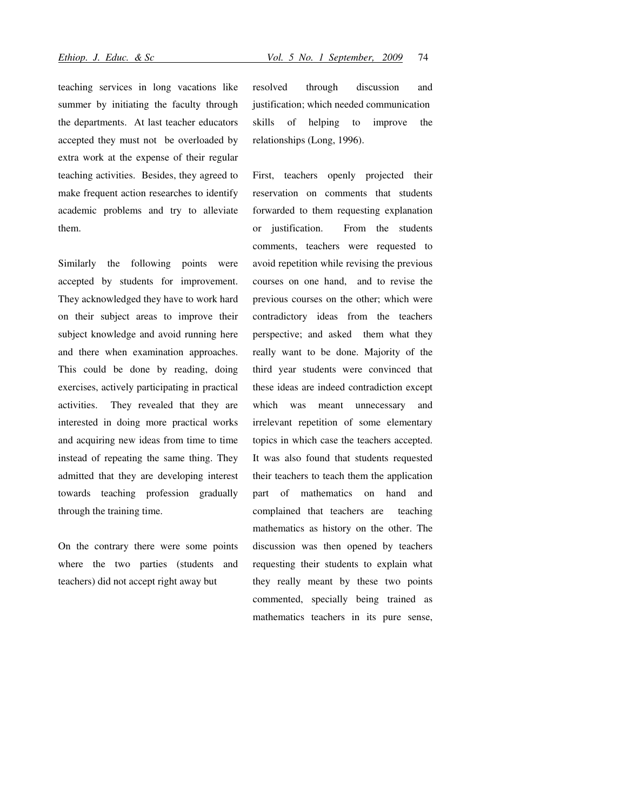teaching services in long vacations like summer by initiating the faculty through the departments. At last teacher educators accepted they must not be overloaded by extra work at the expense of their regular teaching activities. Besides, they agreed to make frequent action researches to identify academic problems and try to alleviate them.

Similarly the following points were accepted by students for improvement. They acknowledged they have to work hard on their subject areas to improve their subject knowledge and avoid running here and there when examination approaches. This could be done by reading, doing exercises, actively participating in practical activities. They revealed that they are interested in doing more practical works and acquiring new ideas from time to time instead of repeating the same thing. They admitted that they are developing interest towards teaching profession gradually through the training time.

On the contrary there were some points where the two parties (students and teachers) did not accept right away but

resolved through discussion and justification; which needed communication skills of helping to improve the relationships (Long, 1996).

First, teachers openly projected their reservation on comments that students forwarded to them requesting explanation or justification. From the students comments, teachers were requested to avoid repetition while revising the previous courses on one hand, and to revise the previous courses on the other; which were contradictory ideas from the teachers perspective; and asked them what they really want to be done. Majority of the third year students were convinced that these ideas are indeed contradiction except which was meant unnecessary and irrelevant repetition of some elementary topics in which case the teachers accepted. It was also found that students requested their teachers to teach them the application part of mathematics on hand and complained that teachers are teaching mathematics as history on the other. The discussion was then opened by teachers requesting their students to explain what they really meant by these two points commented, specially being trained as mathematics teachers in its pure sense,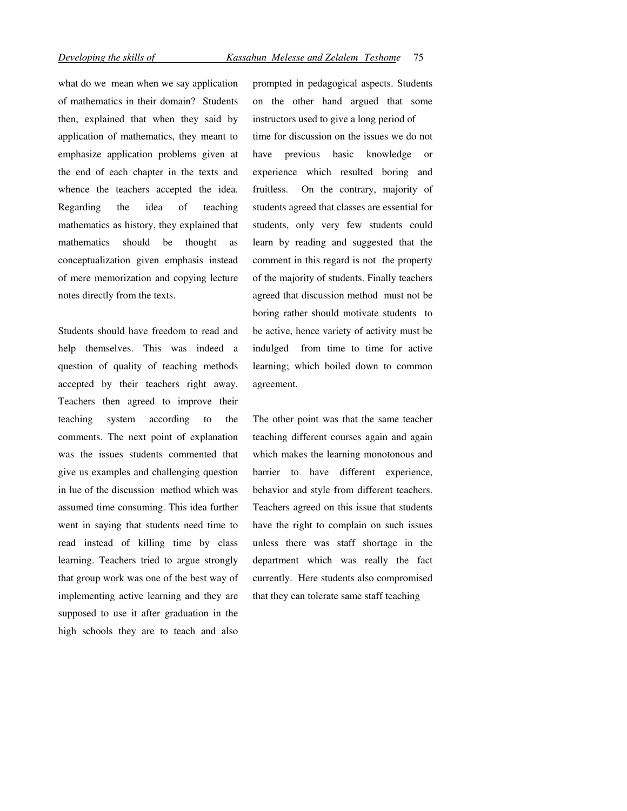what do we mean when we say application of mathematics in their domain? Students then, explained that when they said by application of mathematics, they meant to emphasize application problems given at the end of each chapter in the texts and whence the teachers accepted the idea. Regarding the idea of teaching mathematics as history, they explained that mathematics should be thought as conceptualization given emphasis instead of mere memorization and copying lecture notes directly from the texts.

Students should have freedom to read and help themselves. This was indeed a question of quality of teaching methods accepted by their teachers right away. Teachers then agreed to improve their teaching system according to the comments. The next point of explanation was the issues students commented that give us examples and challenging question in lue of the discussion method which was assumed time consuming. This idea further went in saying that students need time to read instead of killing time by class learning. Teachers tried to argue strongly that group work was one of the best way of implementing active learning and they are supposed to use it after graduation in the high schools they are to teach and also prompted in pedagogical aspects. Students on the other hand argued that some instructors used to give a long period of time for discussion on the issues we do not have previous basic knowledge or experience which resulted boring and fruitless. On the contrary, majority of students agreed that classes are essential for students, only very few students could learn by reading and suggested that the comment in this regard is not the property of the majority of students. Finally teachers agreed that discussion method must not be boring rather should motivate students to be active, hence variety of activity must be indulged from time to time for active learning; which boiled down to common agreement.

The other point was that the same teacher teaching different courses again and again which makes the learning monotonous and barrier to have different experience, behavior and style from different teachers. Teachers agreed on this issue that students have the right to complain on such issues unless there was staff shortage in the department which was really the fact currently. Here students also compromised that they can tolerate same staff teaching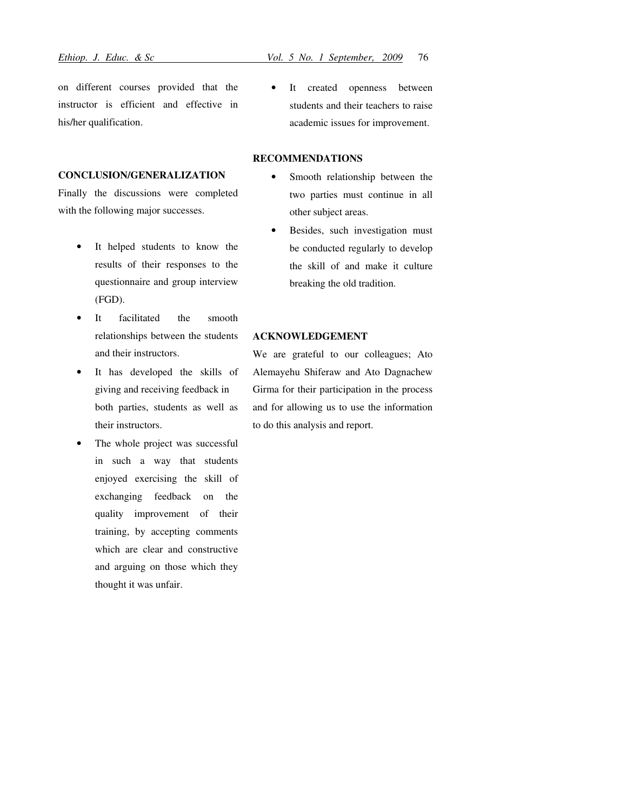on different courses provided that the instructor is efficient and effective in his/her qualification.

## CONCLUSION/GENERALIZATION

Finally the discussions were completed with the following major successes.

- It helped students to know the results of their responses to the questionnaire and group interview (FGD).
- It facilitated the smooth relationships between the students and their instructors.
- It has developed the skills of giving and receiving feedback in both parties, students as well as their instructors.
- The whole project was successful in such a way that students enjoyed exercising the skill of exchanging feedback on the quality improvement of their training, by accepting comments which are clear and constructive and arguing on those which they thought it was unfair.
- 
- It created openness between students and their teachers to raise academic issues for improvement.

# RECOMMENDATIONS

- Smooth relationship between the two parties must continue in all other subject areas.
- Besides, such investigation must be conducted regularly to develop the skill of and make it culture breaking the old tradition.

### ACKNOWLEDGEMENT

We are grateful to our colleagues; Ato Alemayehu Shiferaw and Ato Dagnachew Girma for their participation in the process and for allowing us to use the information to do this analysis and report.